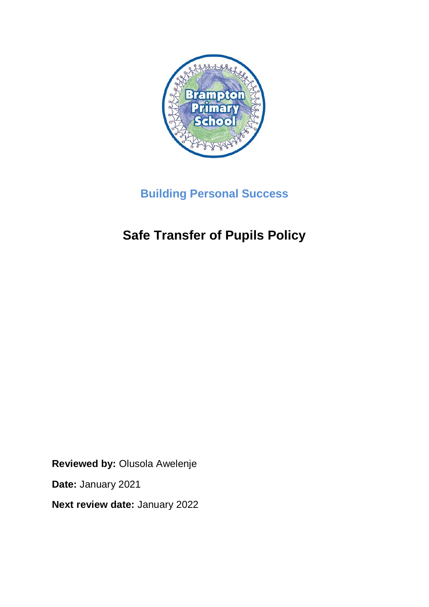

## **Building Personal Success**

# **Safe Transfer of Pupils Policy**

**Reviewed by:** Olusola Awelenje

**Date:** January 2021

**Next review date:** January 2022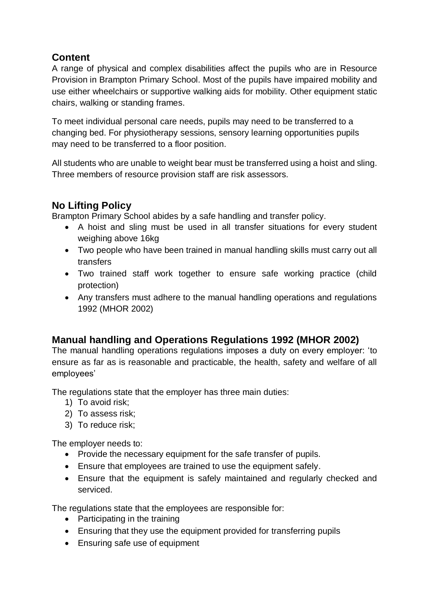### **Content**

A range of physical and complex disabilities affect the pupils who are in Resource Provision in Brampton Primary School. Most of the pupils have impaired mobility and use either wheelchairs or supportive walking aids for mobility. Other equipment static chairs, walking or standing frames.

To meet individual personal care needs, pupils may need to be transferred to a changing bed. For physiotherapy sessions, sensory learning opportunities pupils may need to be transferred to a floor position.

All students who are unable to weight bear must be transferred using a hoist and sling. Three members of resource provision staff are risk assessors.

## **No Lifting Policy**

Brampton Primary School abides by a safe handling and transfer policy.

- A hoist and sling must be used in all transfer situations for every student weighing above 16kg
- Two people who have been trained in manual handling skills must carry out all transfers
- Two trained staff work together to ensure safe working practice (child protection)
- Any transfers must adhere to the manual handling operations and regulations 1992 (MHOR 2002)

#### **Manual handling and Operations Regulations 1992 (MHOR 2002)**

The manual handling operations regulations imposes a duty on every employer: 'to ensure as far as is reasonable and practicable, the health, safety and welfare of all employees'

The regulations state that the employer has three main duties:

- 1) To avoid risk;
- 2) To assess risk;
- 3) To reduce risk;

The employer needs to:

- Provide the necessary equipment for the safe transfer of pupils.
- Ensure that employees are trained to use the equipment safely.
- Ensure that the equipment is safely maintained and regularly checked and serviced.

The regulations state that the employees are responsible for:

- Participating in the training
- Ensuring that they use the equipment provided for transferring pupils
- Ensuring safe use of equipment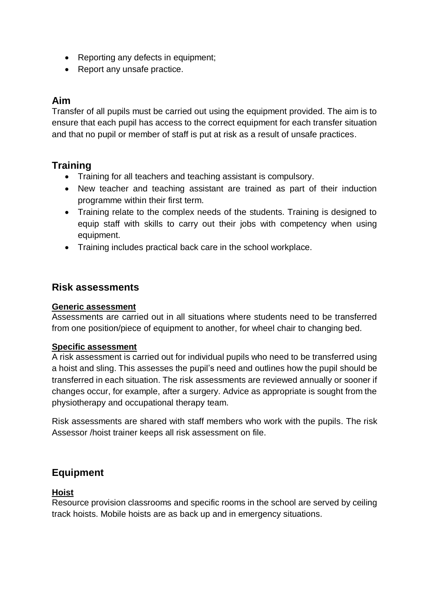- Reporting any defects in equipment;
- Report any unsafe practice.

#### **Aim**

Transfer of all pupils must be carried out using the equipment provided. The aim is to ensure that each pupil has access to the correct equipment for each transfer situation and that no pupil or member of staff is put at risk as a result of unsafe practices.

#### **Training**

- Training for all teachers and teaching assistant is compulsory.
- New teacher and teaching assistant are trained as part of their induction programme within their first term.
- Training relate to the complex needs of the students. Training is designed to equip staff with skills to carry out their jobs with competency when using equipment.
- Training includes practical back care in the school workplace.

#### **Risk assessments**

#### **Generic assessment**

Assessments are carried out in all situations where students need to be transferred from one position/piece of equipment to another, for wheel chair to changing bed.

#### **Specific assessment**

A risk assessment is carried out for individual pupils who need to be transferred using a hoist and sling. This assesses the pupil's need and outlines how the pupil should be transferred in each situation. The risk assessments are reviewed annually or sooner if changes occur, for example, after a surgery. Advice as appropriate is sought from the physiotherapy and occupational therapy team.

Risk assessments are shared with staff members who work with the pupils. The risk Assessor /hoist trainer keeps all risk assessment on file.

#### **Equipment**

#### **Hoist**

Resource provision classrooms and specific rooms in the school are served by ceiling track hoists. Mobile hoists are as back up and in emergency situations.